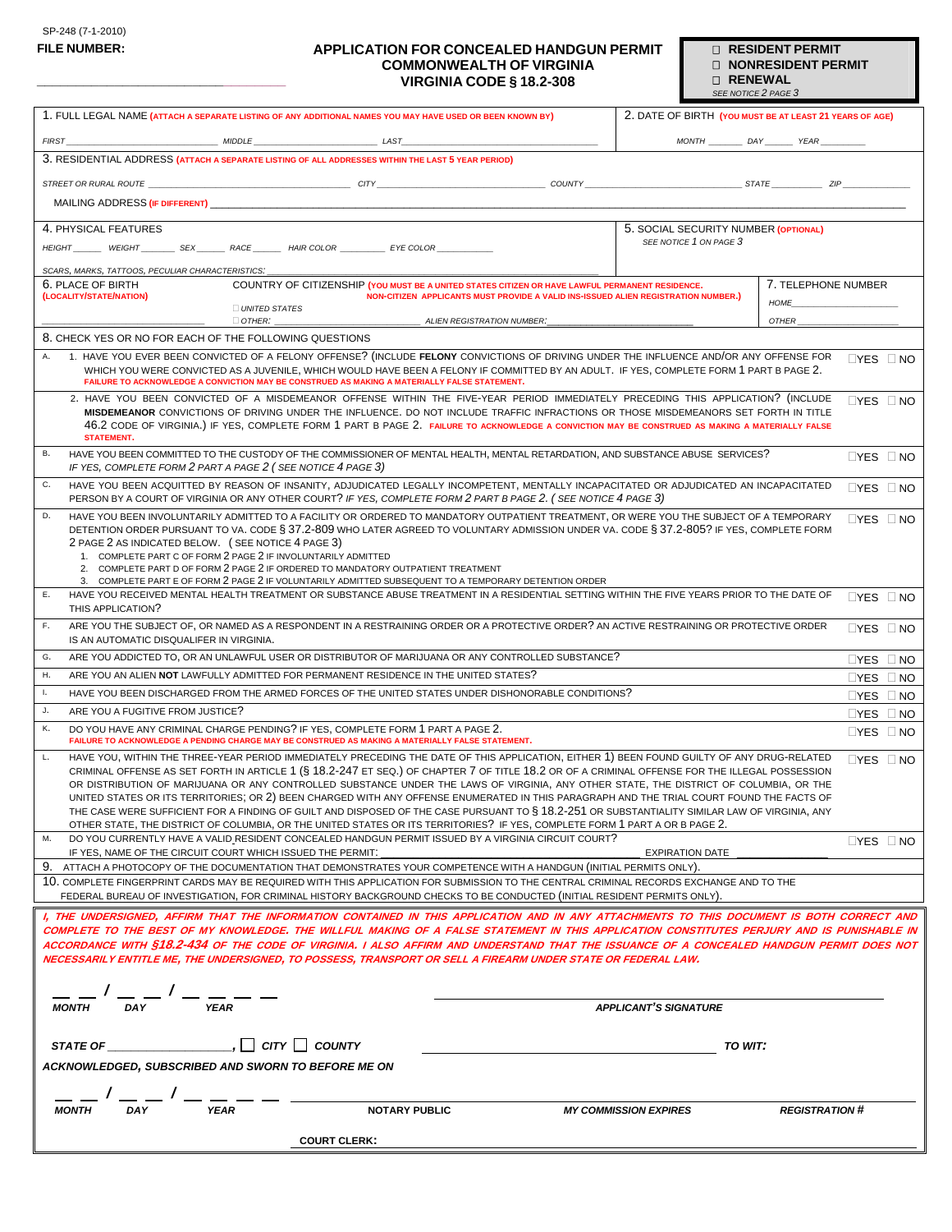**\_\_\_\_\_\_\_\_\_\_\_\_\_\_\_\_\_\_\_\_\_\_\_\_\_\_\_\_\_\_\_\_**

### **APPLICATION FOR CONCEALED HANDGUN PERMIT COMMONWEALTH OF VIRGINIA VIRGINIA CODE § 18.2-308**

 **RESIDENT PERMIT NONRESIDENT PERMIT RENEWAL** 

|                                                                                                                                                                                                                                                                                                                                                                                                                                                                                                                                                                                                                                                                                                                                                                                                                                                                            |                                      | SEE NOTICE 2 PAGE 3                                     |  |  |
|----------------------------------------------------------------------------------------------------------------------------------------------------------------------------------------------------------------------------------------------------------------------------------------------------------------------------------------------------------------------------------------------------------------------------------------------------------------------------------------------------------------------------------------------------------------------------------------------------------------------------------------------------------------------------------------------------------------------------------------------------------------------------------------------------------------------------------------------------------------------------|--------------------------------------|---------------------------------------------------------|--|--|
| 1. FULL LEGAL NAME (ATTACH A SEPARATE LISTING OF ANY ADDITIONAL NAMES YOU MAY HAVE USED OR BEEN KNOWN BY)                                                                                                                                                                                                                                                                                                                                                                                                                                                                                                                                                                                                                                                                                                                                                                  |                                      | 2. DATE OF BIRTH (YOU MUST BE AT LEAST 21 YEARS OF AGE) |  |  |
| MIDDLE LAST                                                                                                                                                                                                                                                                                                                                                                                                                                                                                                                                                                                                                                                                                                                                                                                                                                                                |                                      |                                                         |  |  |
| <b>FIRST</b>                                                                                                                                                                                                                                                                                                                                                                                                                                                                                                                                                                                                                                                                                                                                                                                                                                                               |                                      | MONTH DAY YEAR                                          |  |  |
| 3. RESIDENTIAL ADDRESS (ATTACH A SEPARATE LISTING OF ALL ADDRESSES WITHIN THE LAST 5 YEAR PERIOD)                                                                                                                                                                                                                                                                                                                                                                                                                                                                                                                                                                                                                                                                                                                                                                          |                                      |                                                         |  |  |
|                                                                                                                                                                                                                                                                                                                                                                                                                                                                                                                                                                                                                                                                                                                                                                                                                                                                            |                                      |                                                         |  |  |
|                                                                                                                                                                                                                                                                                                                                                                                                                                                                                                                                                                                                                                                                                                                                                                                                                                                                            |                                      |                                                         |  |  |
| 4. PHYSICAL FEATURES                                                                                                                                                                                                                                                                                                                                                                                                                                                                                                                                                                                                                                                                                                                                                                                                                                                       | 5. SOCIAL SECURITY NUMBER (OPTIONAL) |                                                         |  |  |
| HEIGHT ________ WEIGHT __________ SEX ________ RACE ________ HAIR COLOR _____________ EYE COLOR ___                                                                                                                                                                                                                                                                                                                                                                                                                                                                                                                                                                                                                                                                                                                                                                        | SEE NOTICE 1 ON PAGE 3               |                                                         |  |  |
|                                                                                                                                                                                                                                                                                                                                                                                                                                                                                                                                                                                                                                                                                                                                                                                                                                                                            |                                      |                                                         |  |  |
| SCARS, MARKS, TATTOOS, PECULIAR CHARACTERISTICS:<br>6. PLACE OF BIRTH<br>COUNTRY OF CITIZENSHIP (YOU MUST BE A UNITED STATES CITIZEN OR HAVE LAWFUL PERMANENT RESIDENCE.                                                                                                                                                                                                                                                                                                                                                                                                                                                                                                                                                                                                                                                                                                   |                                      | 7. TELEPHONE NUMBER                                     |  |  |
| (LOCALITY/STATE/NATION)<br>NON-CITIZEN APPLICANTS MUST PROVIDE A VALID INS-ISSUED ALIEN REGISTRATION NUMBER.)                                                                                                                                                                                                                                                                                                                                                                                                                                                                                                                                                                                                                                                                                                                                                              |                                      |                                                         |  |  |
| UNITED STATES                                                                                                                                                                                                                                                                                                                                                                                                                                                                                                                                                                                                                                                                                                                                                                                                                                                              |                                      | <b>HOME</b><br>OTHER                                    |  |  |
| $\Box$ OTHER:<br>ALIEN REGISTRATION NUMBER:<br>8. CHECK YES OR NO FOR EACH OF THE FOLLOWING QUESTIONS                                                                                                                                                                                                                                                                                                                                                                                                                                                                                                                                                                                                                                                                                                                                                                      |                                      |                                                         |  |  |
| 1. HAVE YOU EVER BEEN CONVICTED OF A FELONY OFFENSE? (INCLUDE FELONY CONVICTIONS OF DRIVING UNDER THE INFLUENCE AND/OR ANY OFFENSE FOR<br>Α.                                                                                                                                                                                                                                                                                                                                                                                                                                                                                                                                                                                                                                                                                                                               |                                      |                                                         |  |  |
| WHICH YOU WERE CONVICTED AS A JUVENILE, WHICH WOULD HAVE BEEN A FELONY IF COMMITTED BY AN ADULT. IF YES, COMPLETE FORM 1 PART B PAGE 2.<br>FAILURE TO ACKNOWLEDGE A CONVICTION MAY BE CONSTRUED AS MAKING A MATERIALLY FALSE STATEMENT.                                                                                                                                                                                                                                                                                                                                                                                                                                                                                                                                                                                                                                    |                                      | $\Box$ YES $\Box$ NO                                    |  |  |
| 2. HAVE YOU BEEN CONVICTED OF A MISDEMEANOR OFFENSE WITHIN THE FIVE-YEAR PERIOD IMMEDIATELY PRECEDING THIS APPLICATION? (INCLUDE                                                                                                                                                                                                                                                                                                                                                                                                                                                                                                                                                                                                                                                                                                                                           |                                      | $\Box$ YES $\Box$ NO                                    |  |  |
| MISDEMEANOR CONVICTIONS OF DRIVING UNDER THE INFLUENCE. DO NOT INCLUDE TRAFFIC INFRACTIONS OR THOSE MISDEMEANORS SET FORTH IN TITLE<br>46.2 CODE OF VIRGINIA.) IF YES, COMPLETE FORM 1 PART B PAGE 2. FAILURE TO ACKNOWLEDGE A CONVICTION MAY BE CONSTRUED AS MAKING A MATERIALLY FALSE<br><b>STATEMENT.</b>                                                                                                                                                                                                                                                                                                                                                                                                                                                                                                                                                               |                                      |                                                         |  |  |
| HAVE YOU BEEN COMMITTED TO THE CUSTODY OF THE COMMISSIONER OF MENTAL HEALTH, MENTAL RETARDATION, AND SUBSTANCE ABUSE SERVICES?<br>В.<br>IF YES, COMPLETE FORM 2 PART A PAGE 2 (SEE NOTICE 4 PAGE 3)                                                                                                                                                                                                                                                                                                                                                                                                                                                                                                                                                                                                                                                                        |                                      | $\Box$ YES $\Box$ NO                                    |  |  |
| HAVE YOU BEEN ACQUITTED BY REASON OF INSANITY, ADJUDICATED LEGALLY INCOMPETENT, MENTALLY INCAPACITATED OR ADJUDICATED AN INCAPACITATED<br>$\Box$ YES $\Box$ NO<br>PERSON BY A COURT OF VIRGINIA OR ANY OTHER COURT? IF YES, COMPLETE FORM 2 PART B PAGE 2. (SEE NOTICE 4 PAGE 3)                                                                                                                                                                                                                                                                                                                                                                                                                                                                                                                                                                                           |                                      |                                                         |  |  |
| D.<br>HAVE YOU BEEN INVOLUNTARILY ADMITTED TO A FACILITY OR ORDERED TO MANDATORY OUTPATIENT TREATMENT. OR WERE YOU THE SUBJECT OF A TEMPORARY<br>$\Box$ YES $\Box$ NO<br>DETENTION ORDER PURSUANT TO VA. CODE § 37.2-809 WHO LATER AGREED TO VOLUNTARY ADMISSION UNDER VA. CODE § 37.2-805? IF YES, COMPLETE FORM                                                                                                                                                                                                                                                                                                                                                                                                                                                                                                                                                          |                                      |                                                         |  |  |
| 2 PAGE 2 AS INDICATED BELOW. (SEE NOTICE 4 PAGE 3)<br>1. COMPLETE PART C OF FORM 2 PAGE 2 IF INVOLUNTARILY ADMITTED                                                                                                                                                                                                                                                                                                                                                                                                                                                                                                                                                                                                                                                                                                                                                        |                                      |                                                         |  |  |
| 2. COMPLETE PART D OF FORM 2 PAGE 2 IF ORDERED TO MANDATORY OUTPATIENT TREATMENT                                                                                                                                                                                                                                                                                                                                                                                                                                                                                                                                                                                                                                                                                                                                                                                           |                                      |                                                         |  |  |
| 3. COMPLETE PART E OF FORM 2 PAGE 2 IF VOLUNTARILY ADMITTED SUBSEQUENT TO A TEMPORARY DETENTION ORDER                                                                                                                                                                                                                                                                                                                                                                                                                                                                                                                                                                                                                                                                                                                                                                      |                                      |                                                         |  |  |
| HAVE YOU RECEIVED MENTAL HEALTH TREATMENT OR SUBSTANCE ABUSE TREATMENT IN A RESIDENTIAL SETTING WITHIN THE FIVE YEARS PRIOR TO THE DATE OF<br>Ε.<br>THIS APPLICATION?                                                                                                                                                                                                                                                                                                                                                                                                                                                                                                                                                                                                                                                                                                      |                                      | $\Box$ YES $\Box$ NO                                    |  |  |
| ARE YOU THE SUBJECT OF, OR NAMED AS A RESPONDENT IN A RESTRAINING ORDER OR A PROTECTIVE ORDER? AN ACTIVE RESTRAINING OR PROTECTIVE ORDER<br>F.<br>IS AN AUTOMATIC DISQUALIFER IN VIRGINIA.                                                                                                                                                                                                                                                                                                                                                                                                                                                                                                                                                                                                                                                                                 |                                      | $\Box$ YES $\Box$ NO                                    |  |  |
| G.<br>ARE YOU ADDICTED TO, OR AN UNLAWFUL USER OR DISTRIBUTOR OF MARIJUANA OR ANY CONTROLLED SUBSTANCE?                                                                                                                                                                                                                                                                                                                                                                                                                                                                                                                                                                                                                                                                                                                                                                    |                                      | $\Box$ YES $\Box$ NO                                    |  |  |
| Η.<br>ARE YOU AN ALIEN NOT LAWFULLY ADMITTED FOR PERMANENT RESIDENCE IN THE UNITED STATES?                                                                                                                                                                                                                                                                                                                                                                                                                                                                                                                                                                                                                                                                                                                                                                                 |                                      |                                                         |  |  |
| Ι.<br>HAVE YOU BEEN DISCHARGED FROM THE ARMED FORCES OF THE UNITED STATES UNDER DISHONORABLE CONDITIONS?                                                                                                                                                                                                                                                                                                                                                                                                                                                                                                                                                                                                                                                                                                                                                                   |                                      | $\Box$ YES $\Box$ NO                                    |  |  |
| ARE YOU A FUGITIVE FROM JUSTICE?<br>J.                                                                                                                                                                                                                                                                                                                                                                                                                                                                                                                                                                                                                                                                                                                                                                                                                                     |                                      | $\Box$ YES $\Box$ NO                                    |  |  |
| DO YOU HAVE ANY CRIMINAL CHARGE PENDING? IF YES, COMPLETE FORM 1 PART A PAGE 2.<br>Κ.<br>FAILURE TO ACKNOWLEDGE A PENDING CHARGE MAY BE CONSTRUED AS MAKING A MATERIALLY FALSE STATEMENT.                                                                                                                                                                                                                                                                                                                                                                                                                                                                                                                                                                                                                                                                                  |                                      | $\Box$ YES $\Box$ NO                                    |  |  |
| L.<br>HAVE YOU, WITHIN THE THREE-YEAR PERIOD IMMEDIATELY PRECEDING THE DATE OF THIS APPLICATION, EITHER 1) BEEN FOUND GUILTY OF ANY DRUG-RELATED<br>CRIMINAL OFFENSE AS SET FORTH IN ARTICLE 1 (§ 18.2-247 ET SEQ.) OF CHAPTER 7 OF TITLE 18.2 OR OF A CRIMINAL OFFENSE FOR THE ILLEGAL POSSESSION<br>OR DISTRIBUTION OF MARIJUANA OR ANY CONTROLLED SUBSTANCE UNDER THE LAWS OF VIRGINIA, ANY OTHER STATE, THE DISTRICT OF COLUMBIA, OR THE<br>UNITED STATES OR ITS TERRITORIES; OR 2) BEEN CHARGED WITH ANY OFFENSE ENUMERATED IN THIS PARAGRAPH AND THE TRIAL COURT FOUND THE FACTS OF<br>THE CASE WERE SUFFICIENT FOR A FINDING OF GUILT AND DISPOSED OF THE CASE PURSUANT TO § 18.2-251 OR SUBSTANTIALITY SIMILAR LAW OF VIRGINIA, ANY<br>OTHER STATE, THE DISTRICT OF COLUMBIA, OR THE UNITED STATES OR ITS TERRITORIES? IF YES, COMPLETE FORM 1 PART A OR B PAGE 2. |                                      | $\Box$ YES $\Box$ NO                                    |  |  |
| DO YOU CURRENTLY HAVE A VALID RESIDENT CONCEALED HANDGUN PERMIT ISSUED BY A VIRGINIA CIRCUIT COURT?<br>м.                                                                                                                                                                                                                                                                                                                                                                                                                                                                                                                                                                                                                                                                                                                                                                  |                                      | $\Box$ YES $\Box$ NO                                    |  |  |
| IF YES, NAME OF THE CIRCUIT COURT WHICH ISSUED THE PERMIT:<br>9. ATTACH A PHOTOCOPY OF THE DOCUMENTATION THAT DEMONSTRATES YOUR COMPETENCE WITH A HANDGUN (INITIAL PERMITS ONLY).                                                                                                                                                                                                                                                                                                                                                                                                                                                                                                                                                                                                                                                                                          | <b>EXPIRATION DATE</b>               |                                                         |  |  |
| 10. COMPLETE FINGERPRINT CARDS MAY BE REQUIRED WITH THIS APPLICATION FOR SUBMISSION TO THE CENTRAL CRIMINAL RECORDS EXCHANGE AND TO THE                                                                                                                                                                                                                                                                                                                                                                                                                                                                                                                                                                                                                                                                                                                                    |                                      |                                                         |  |  |
| FEDERAL BUREAU OF INVESTIGATION, FOR CRIMINAL HISTORY BACKGROUND CHECKS TO BE CONDUCTED (INITIAL RESIDENT PERMITS ONLY).                                                                                                                                                                                                                                                                                                                                                                                                                                                                                                                                                                                                                                                                                                                                                   |                                      |                                                         |  |  |
| I, THE UNDERSIGNED, AFFIRM THAT THE INFORMATION CONTAINED IN THIS APPLICATION AND IN ANY ATTACHMENTS TO THIS DOCUMENT IS BOTH CORRECT AND<br>COMPLETE TO THE BEST OF MY KNOWLEDGE. THE WILLFUL MAKING OF A FALSE STATEMENT IN THIS APPLICATION CONSTITUTES PERJURY AND IS PUNISHABLE IN<br>ACCORDANCE WITH \$18.2-434 OF THE CODE OF VIRGINIA. I ALSO AFFIRM AND UNDERSTAND THAT THE ISSUANCE OF A CONCEALED HANDGUN PERMIT DOES NOT<br>NECESSARILY ENTITLE ME, THE UNDERSIGNED, TO POSSESS, TRANSPORT OR SELL A FIREARM UNDER STATE OR FEDERAL LAW.                                                                                                                                                                                                                                                                                                                       |                                      |                                                         |  |  |
|                                                                                                                                                                                                                                                                                                                                                                                                                                                                                                                                                                                                                                                                                                                                                                                                                                                                            |                                      |                                                         |  |  |
| <b>YEAR</b><br><b>DAY</b><br><b>MONTH</b>                                                                                                                                                                                                                                                                                                                                                                                                                                                                                                                                                                                                                                                                                                                                                                                                                                  | <b>APPLICANT'S SIGNATURE</b>         |                                                         |  |  |
| <b>STATE OF</b>                                                                                                                                                                                                                                                                                                                                                                                                                                                                                                                                                                                                                                                                                                                                                                                                                                                            | TO WIT:                              |                                                         |  |  |
| ACKNOWLEDGED, SUBSCRIBED AND SWORN TO BEFORE ME ON                                                                                                                                                                                                                                                                                                                                                                                                                                                                                                                                                                                                                                                                                                                                                                                                                         |                                      |                                                         |  |  |
|                                                                                                                                                                                                                                                                                                                                                                                                                                                                                                                                                                                                                                                                                                                                                                                                                                                                            |                                      |                                                         |  |  |
| <b>YEAR</b><br><b>NOTARY PUBLIC</b><br><b>MONTH</b><br><b>DAY</b>                                                                                                                                                                                                                                                                                                                                                                                                                                                                                                                                                                                                                                                                                                                                                                                                          | <b>MY COMMISSION EXPIRES</b>         | <b>REGISTRATION#</b>                                    |  |  |
| <b>COURT CLERK:</b>                                                                                                                                                                                                                                                                                                                                                                                                                                                                                                                                                                                                                                                                                                                                                                                                                                                        |                                      |                                                         |  |  |
|                                                                                                                                                                                                                                                                                                                                                                                                                                                                                                                                                                                                                                                                                                                                                                                                                                                                            |                                      |                                                         |  |  |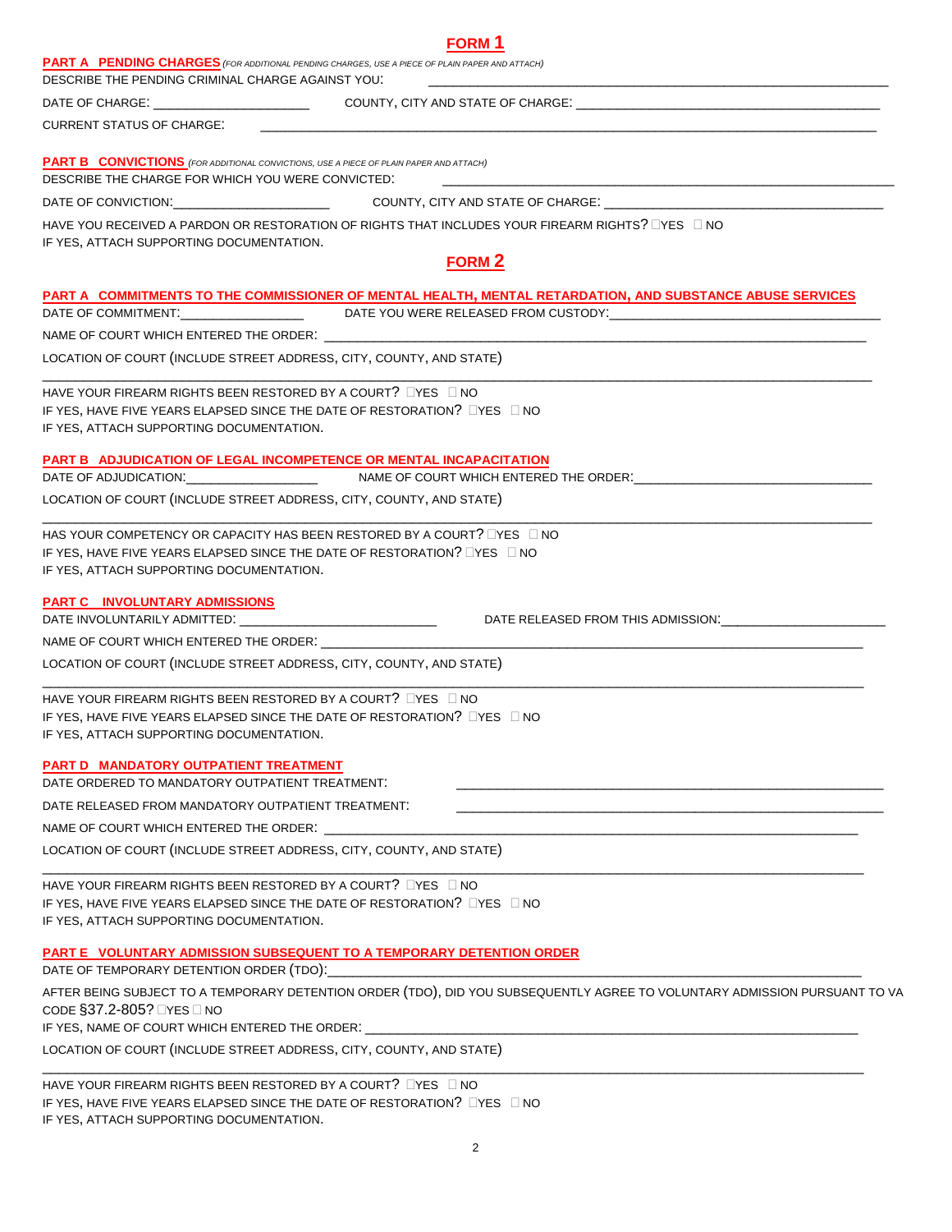| <b>FORM 1</b>                                                                                                                                                                                                                                                             |
|---------------------------------------------------------------------------------------------------------------------------------------------------------------------------------------------------------------------------------------------------------------------------|
| <b>PART A PENDING CHARGES</b> (FOR ADDITIONAL PENDING CHARGES, USE A PIECE OF PLAIN PAPER AND ATTACH)<br>DESCRIBE THE PENDING CRIMINAL CHARGE AGAINST YOU.                                                                                                                |
| <u> 1980 - Johann Stein, marwolaethau a bhann an t-Amhain ann an t-Amhain an t-Amhain an t-Amhain an t-Amhain an </u>                                                                                                                                                     |
| CURRENT STATUS OF CHARGE:                                                                                                                                                                                                                                                 |
| <b>PART B CONVICTIONS</b> (FOR ADDITIONAL CONVICTIONS, USE A PIECE OF PLAIN PAPER AND ATTACH)<br>DESCRIBE THE CHARGE FOR WHICH YOU WERE CONVICTED:<br><u> 1989 - Johann John Stoff, deutscher Stoffen und der Stoffen und der Stoffen und der Stoffen und der Stoffen</u> |
|                                                                                                                                                                                                                                                                           |
| HAVE YOU RECEIVED A PARDON OR RESTORATION OF RIGHTS THAT INCLUDES YOUR FIREARM RIGHTS? $\square$ YES $\square$ NO                                                                                                                                                         |
| IF YES, ATTACH SUPPORTING DOCUMENTATION.                                                                                                                                                                                                                                  |
| <b>FORM 2</b>                                                                                                                                                                                                                                                             |
| PART A COMMITMENTS TO THE COMMISSIONER OF MENTAL HEALTH, MENTAL RETARDATION, AND SUBSTANCE ABUSE SERVICES<br>DATE OF COMMITMENT:__________________________DATE YOU WERE RELEASED FROM CUSTODY:___________________________________                                         |
|                                                                                                                                                                                                                                                                           |
| LOCATION OF COURT (INCLUDE STREET ADDRESS, CITY, COUNTY, AND STATE)                                                                                                                                                                                                       |
| HAVE YOUR FIREARM RIGHTS BEEN RESTORED BY A COURT? IYES INO                                                                                                                                                                                                               |
| IF YES, HAVE FIVE YEARS ELAPSED SINCE THE DATE OF RESTORATION? LYES LINO                                                                                                                                                                                                  |
| IF YES, ATTACH SUPPORTING DOCUMENTATION.                                                                                                                                                                                                                                  |
| <b>PART B ADJUDICATION OF LEGAL INCOMPETENCE OR MENTAL INCAPACITATION</b>                                                                                                                                                                                                 |
|                                                                                                                                                                                                                                                                           |
| LOCATION OF COURT (INCLUDE STREET ADDRESS, CITY, COUNTY, AND STATE)                                                                                                                                                                                                       |
| HAS YOUR COMPETENCY OR CAPACITY HAS BEEN RESTORED BY A COURT? □YES □ NO<br>IF YES, HAVE FIVE YEARS ELAPSED SINCE THE DATE OF RESTORATION? LYES LINO<br>IF YES, ATTACH SUPPORTING DOCUMENTATION.                                                                           |
| <b>PART C INVOLUNTARY ADMISSIONS</b>                                                                                                                                                                                                                                      |
|                                                                                                                                                                                                                                                                           |
| NAME OF COURT WHICH ENTERED THE ORDER: WELL ARE AN ASSEMBLED THE ORDER:                                                                                                                                                                                                   |
| LOCATION OF COURT (INCLUDE STREET ADDRESS, CITY, COUNTY, AND STATE)                                                                                                                                                                                                       |
| HAVE YOUR FIREARM RIGHTS BEEN RESTORED BY A COURT? $\square$ YES $\square$ NO<br>IF YES, HAVE FIVE YEARS ELAPSED SINCE THE DATE OF RESTORATION? LYES LINO<br>IF YES, ATTACH SUPPORTING DOCUMENTATION.                                                                     |
| PART D MANDATORY OUTPATIENT TREATMENT<br>DATE ORDERED TO MANDATORY OUTPATIENT TREATMENT:                                                                                                                                                                                  |
| DATE RELEASED FROM MANDATORY OUTPATIENT TREATMENT:                                                                                                                                                                                                                        |
| NAME OF COURT WHICH ENTERED THE ORDER: NAME OF COURT WHICH ENDING:                                                                                                                                                                                                        |
| LOCATION OF COURT (INCLUDE STREET ADDRESS, CITY, COUNTY, AND STATE)                                                                                                                                                                                                       |
| HAVE YOUR FIREARM RIGHTS BEEN RESTORED BY A COURT? LYES LINO                                                                                                                                                                                                              |
| IF YES, HAVE FIVE YEARS ELAPSED SINCE THE DATE OF RESTORATION? LYES LINO<br>IF YES, ATTACH SUPPORTING DOCUMENTATION.                                                                                                                                                      |
| PART E VOLUNTARY ADMISSION SUBSEQUENT TO A TEMPORARY DETENTION ORDER                                                                                                                                                                                                      |
| DATE OF TEMPORARY DETENTION ORDER (TDO): _____________                                                                                                                                                                                                                    |
| AFTER BEING SUBJECT TO A TEMPORARY DETENTION ORDER (TDO), DID YOU SUBSEQUENTLY AGREE TO VOLUNTARY ADMISSION PURSUANT TO VA<br>CODE §37.2-805? □YES □ NO<br>IF YES, NAME OF COURT WHICH ENTERED THE ORDER: __________________                                              |
| LOCATION OF COURT (INCLUDE STREET ADDRESS, CITY, COUNTY, AND STATE)                                                                                                                                                                                                       |
| HAVE YOUR FIREARM RIGHTS BEEN RESTORED BY A COURT? □YES □ NO<br>IF YES, HAVE FIVE YEARS ELAPSED SINCE THE DATE OF RESTORATION? LYES LINO                                                                                                                                  |

IF YES, ATTACH SUPPORTING DOCUMENTATION.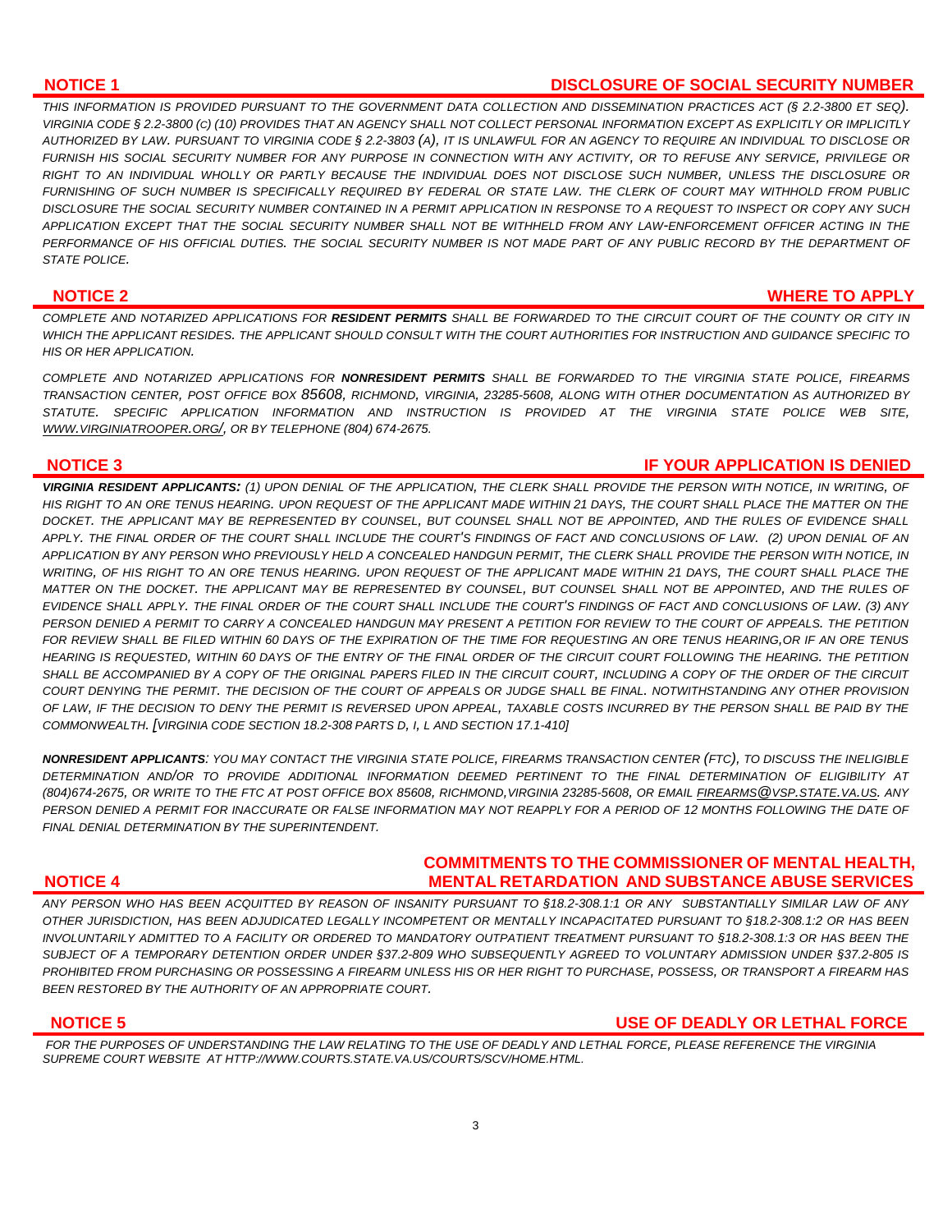# **NOTICE 1 DISCLOSURE OF SOCIAL SECURITY NUMBER**

*THIS INFORMATION IS PROVIDED PURSUANT TO THE GOVERNMENT DATA COLLECTION AND DISSEMINATION PRACTICES ACT (§ 2.2-3800 ET SEQ). VIRGINIA CODE § 2.2-3800 (C) (10) PROVIDES THAT AN AGENCY SHALL NOT COLLECT PERSONAL INFORMATION EXCEPT AS EXPLICITLY OR IMPLICITLY AUTHORIZED BY LAW. PURSUANT TO VIRGINIA CODE § 2.2-3803 (A), IT IS UNLAWFUL FOR AN AGENCY TO REQUIRE AN INDIVIDUAL TO DISCLOSE OR FURNISH HIS SOCIAL SECURITY NUMBER FOR ANY PURPOSE IN CONNECTION WITH ANY ACTIVITY, OR TO REFUSE ANY SERVICE, PRIVILEGE OR RIGHT TO AN INDIVIDUAL WHOLLY OR PARTLY BECAUSE THE INDIVIDUAL DOES NOT DISCLOSE SUCH NUMBER, UNLESS THE DISCLOSURE OR FURNISHING OF SUCH NUMBER IS SPECIFICALLY REQUIRED BY FEDERAL OR STATE LAW. THE CLERK OF COURT MAY WITHHOLD FROM PUBLIC DISCLOSURE THE SOCIAL SECURITY NUMBER CONTAINED IN A PERMIT APPLICATION IN RESPONSE TO A REQUEST TO INSPECT OR COPY ANY SUCH APPLICATION EXCEPT THAT THE SOCIAL SECURITY NUMBER SHALL NOT BE WITHHELD FROM ANY LAW-ENFORCEMENT OFFICER ACTING IN THE PERFORMANCE OF HIS OFFICIAL DUTIES. THE SOCIAL SECURITY NUMBER IS NOT MADE PART OF ANY PUBLIC RECORD BY THE DEPARTMENT OF STATE POLICE.* 

### **NOTICE 2 WHERE TO APPLY**

*COMPLETE AND NOTARIZED APPLICATIONS FOR RESIDENT PERMITS SHALL BE FORWARDED TO THE CIRCUIT COURT OF THE COUNTY OR CITY IN WHICH THE APPLICANT RESIDES. THE APPLICANT SHOULD CONSULT WITH THE COURT AUTHORITIES FOR INSTRUCTION AND GUIDANCE SPECIFIC TO HIS OR HER APPLICATION.* 

*COMPLETE AND NOTARIZED APPLICATIONS FOR NONRESIDENT PERMITS SHALL BE FORWARDED TO THE VIRGINIA STATE POLICE, FIREARMS TRANSACTION CENTER, POST OFFICE BOX 85608, RICHMOND, VIRGINIA, 23285-5608, ALONG WITH OTHER DOCUMENTATION AS AUTHORIZED BY STATUTE. SPECIFIC APPLICATION INFORMATION AND INSTRUCTION IS PROVIDED AT THE VIRGINIA STATE POLICE WEB SITE, [WWW.VIRGINIATROOPER.ORG/,](http://www.virginiatrooper.org/) OR BY TELEPHONE (804) 674-2675.*

**NOTICE 3** IF YOUR APPLICATION IS DENIED

*VIRGINIA RESIDENT APPLICANTS: (1) UPON DENIAL OF THE APPLICATION, THE CLERK SHALL PROVIDE THE PERSON WITH NOTICE, IN WRITING, OF*  HIS RIGHT TO AN ORE TENUS HEARING. UPON REQUEST OF THE APPLICANT MADE WITHIN 21 DAYS, THE COURT SHALL PLACE THE MATTER ON THE *DOCKET. THE APPLICANT MAY BE REPRESENTED BY COUNSEL, BUT COUNSEL SHALL NOT BE APPOINTED, AND THE RULES OF EVIDENCE SHALL APPLY. THE FINAL ORDER OF THE COURT SHALL INCLUDE THE COURT'S FINDINGS OF FACT AND CONCLUSIONS OF LAW. (2) UPON DENIAL OF AN APPLICATION BY ANY PERSON WHO PREVIOUSLY HELD A CONCEALED HANDGUN PERMIT, THE CLERK SHALL PROVIDE THE PERSON WITH NOTICE, IN WRITING, OF HIS RIGHT TO AN ORE TENUS HEARING. UPON REQUEST OF THE APPLICANT MADE WITHIN 21 DAYS, THE COURT SHALL PLACE THE MATTER ON THE DOCKET. THE APPLICANT MAY BE REPRESENTED BY COUNSEL, BUT COUNSEL SHALL NOT BE APPOINTED, AND THE RULES OF EVIDENCE SHALL APPLY. THE FINAL ORDER OF THE COURT SHALL INCLUDE THE COURT'S FINDINGS OF FACT AND CONCLUSIONS OF LAW. (3) ANY PERSON DENIED A PERMIT TO CARRY A CONCEALED HANDGUN MAY PRESENT A PETITION FOR REVIEW TO THE COURT OF APPEALS. THE PETITION FOR REVIEW SHALL BE FILED WITHIN 60 DAYS OF THE EXPIRATION OF THE TIME FOR REQUESTING AN ORE TENUS HEARING,OR IF AN ORE TENUS HEARING IS REQUESTED, WITHIN 60 DAYS OF THE ENTRY OF THE FINAL ORDER OF THE CIRCUIT COURT FOLLOWING THE HEARING. THE PETITION SHALL BE ACCOMPANIED BY A COPY OF THE ORIGINAL PAPERS FILED IN THE CIRCUIT COURT, INCLUDING A COPY OF THE ORDER OF THE CIRCUIT COURT DENYING THE PERMIT. THE DECISION OF THE COURT OF APPEALS OR JUDGE SHALL BE FINAL. NOTWITHSTANDING ANY OTHER PROVISION OF LAW, IF THE DECISION TO DENY THE PERMIT IS REVERSED UPON APPEAL, TAXABLE COSTS INCURRED BY THE PERSON SHALL BE PAID BY THE COMMONWEALTH. [VIRGINIA CODE SECTION 18.2-308 PARTS D, I, L AND SECTION 17.1-410]*

*NONRESIDENT APPLICANTS: YOU MAY CONTACT THE VIRGINIA STATE POLICE, FIREARMS TRANSACTION CENTER (FTC), TO DISCUSS THE INELIGIBLE DETERMINATION AND/OR TO PROVIDE ADDITIONAL INFORMATION DEEMED PERTINENT TO THE FINAL DETERMINATION OF ELIGIBILITY AT (804)674-2675, OR WRITE TO THE FTC AT POST OFFICE BOX 85608, RICHMOND,VIRGINIA 23285-5608, OR EMAIL [FIREARMS@VSP.STATE.VA.US](mailto:firearms@vsp.state.va.us). ANY PERSON DENIED A PERMIT FOR INACCURATE OR FALSE INFORMATION MAY NOT REAPPLY FOR A PERIOD OF 12 MONTHS FOLLOWING THE DATE OF FINAL DENIAL DETERMINATION BY THE SUPERINTENDENT.*

# **COMMITMENTS TO THE COMMISSIONER OF MENTAL HEALTH, NOTICE 4 MENTAL RETARDATION AND SUBSTANCE ABUSE SERVICES**

*ANY PERSON WHO HAS BEEN ACQUITTED BY REASON OF INSANITY PURSUANT TO [§18.2-308.1:1](http://leg1.state.va.us/cgi-bin/legp504.exe?000+cod+18.2-308.1C1) OR ANY SUBSTANTIALLY SIMILAR LAW OF ANY OTHER JURISDICTION, HAS BEEN ADJUDICATED LEGALLY INCOMPETENT OR MENTALLY INCAPACITATED PURSUANT TO [§18.2-308.1:2](http://leg1.state.va.us/cgi-bin/legp504.exe?000+cod+18.2-308.1C1) OR HAS BEEN INVOLUNTARILY ADMITTED TO A FACILITY OR ORDERED TO MANDATORY OUTPATIENT TREATMENT PURSUANT TO [§18.2-308.1:3](http://leg1.state.va.us/cgi-bin/legp504.exe?000+cod+18.2-308.1C1) OR HAS BEEN THE SUBJECT OF A TEMPORARY DETENTION ORDER UNDER §37.2-809 WHO SUBSEQUENTLY AGREED TO VOLUNTARY ADMISSION UNDER §37.2-805 IS PROHIBITED FROM PURCHASING OR POSSESSING A FIREARM UNLESS HIS OR HER RIGHT TO PURCHASE, POSSESS, OR TRANSPORT A FIREARM HAS BEEN RESTORED BY THE AUTHORITY OF AN APPROPRIATE COURT.*

## **NOTICE 5 USE OF DEADLY OR LETHAL FORCE**

*FOR THE PURPOSES OF UNDERSTANDING THE LAW RELATING TO THE USE OF DEADLY AND LETHAL FORCE, PLEASE REFERENCE THE VIRGINIA SUPREME COURT WEBSITE AT HTTP://WWW.COURTS.STATE.VA.US/COURTS/SCV/HOME.HTML.*